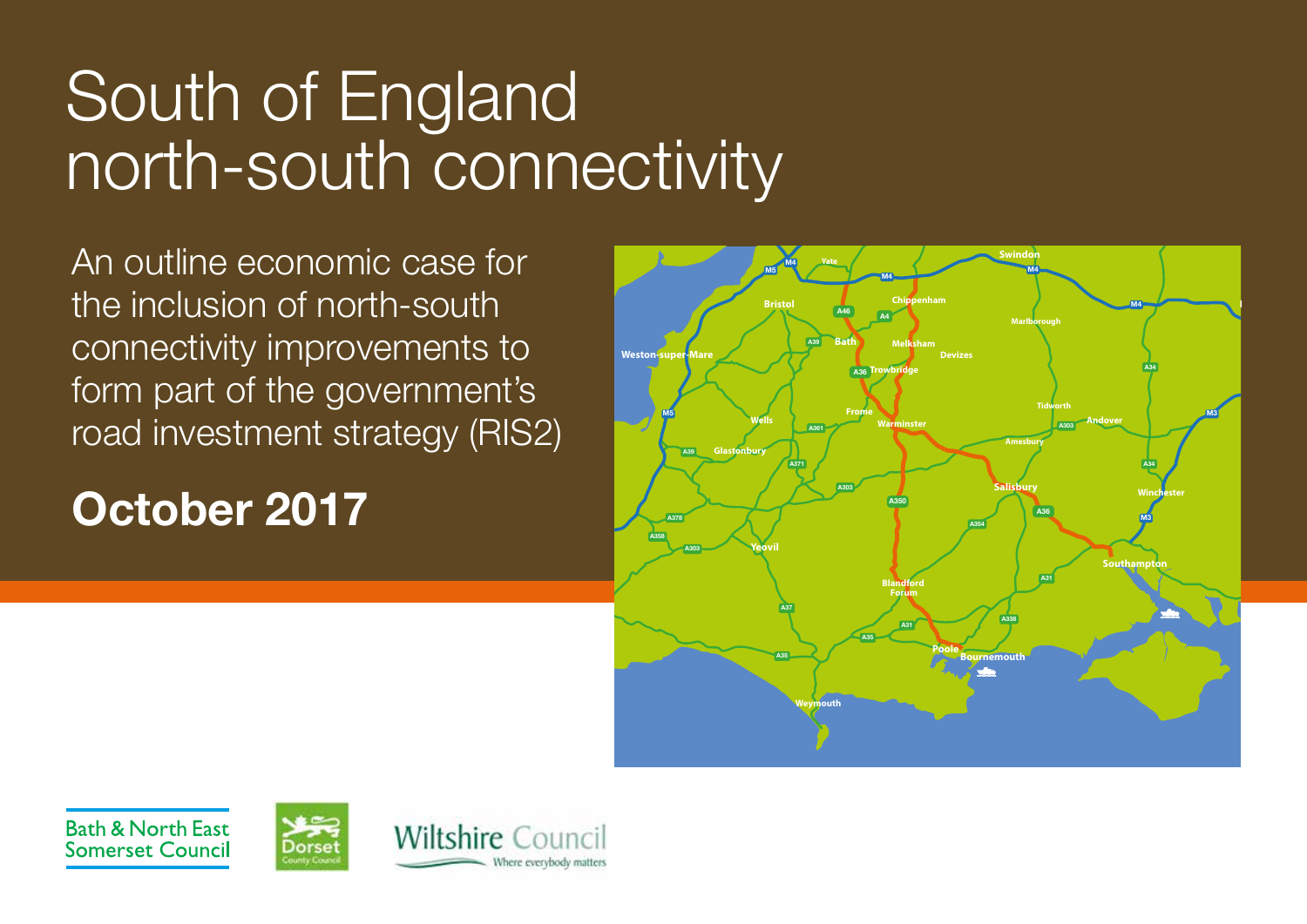# South of England north-south connectivity

An outline economic case for the inclusion of north-south connectivity improvements to form part of the government's road investment strategy (RIS2)

## **October 2017**



**Bath & North East Somerset Council** 



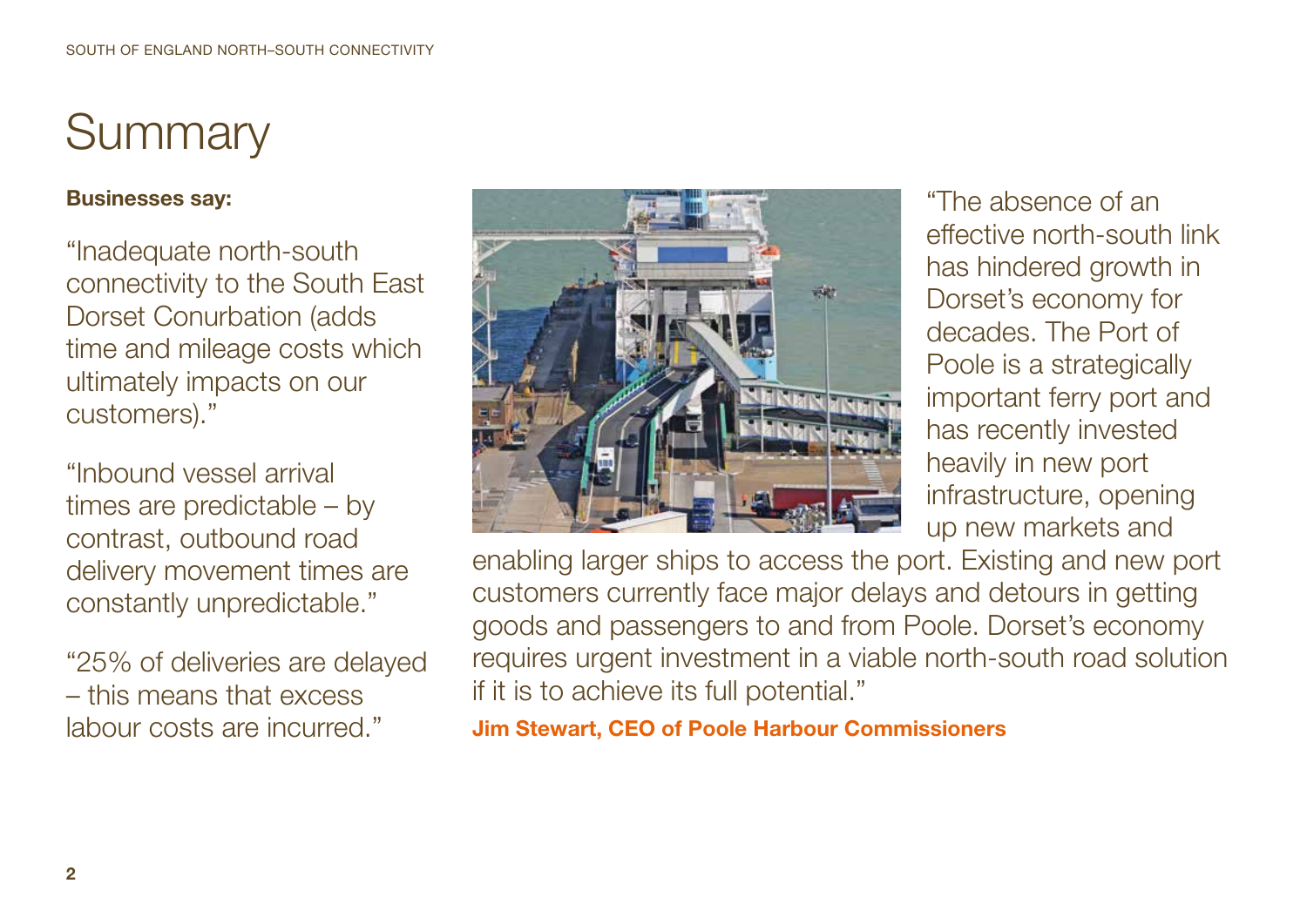# **Summary**

#### **Businesses say:**

"Inadequate north-south connectivity to the South East Dorset Conurbation (adds time and mileage costs which ultimately impacts on our customers)."

"Inbound vessel arrival times are predictable – by contrast, outbound road delivery movement times are constantly unpredictable."

"25% of deliveries are delayed – this means that excess labour costs are incurred."



"The absence of an effective north-south link has hindered growth in Dorset's economy for decades. The Port of Poole is a strategically important ferry port and has recently invested heavily in new port infrastructure, opening up new markets and

enabling larger ships to access the port. Existing and new port customers currently face major delays and detours in getting goods and passengers to and from Poole. Dorset's economy requires urgent investment in a viable north-south road solution if it is to achieve its full potential."

**Jim Stewart, CEO of Poole Harbour Commissioners**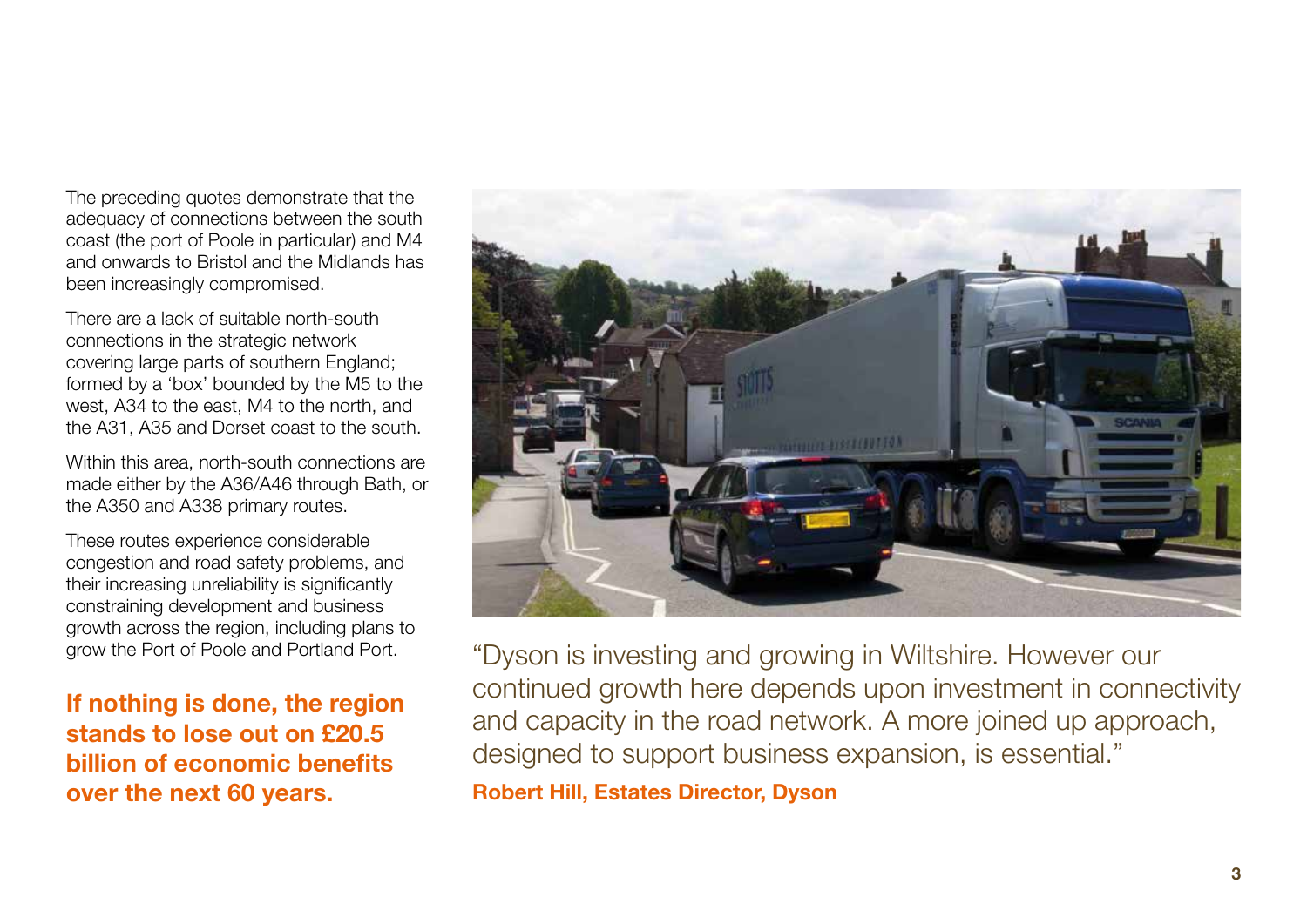The preceding quotes demonstrate that the adequacy of connections between the south coast (the port of Poole in particular) and M4 and onwards to Bristol and the Midlands has been increasingly compromised.

There are a lack of suitable north-south connections in the strategic network covering large parts of southern England; formed by a 'box' bounded by the M5 to the west, A34 to the east, M4 to the north, and the A31, A35 and Dorset coast to the south.

Within this area, north-south connections are made either by the A36/A46 through Bath, or the A350 and A338 primary routes.

These routes experience considerable congestion and road safety problems, and their increasing unreliability is significantly constraining development and business growth across the region, including plans to grow the Port of Poole and Portland Port.

**If nothing is done, the region stands to lose out on £20.5 billion of economic benefits over the next 60 years.** 



"Dyson is investing and growing in Wiltshire. However our continued growth here depends upon investment in connectivity and capacity in the road network. A more joined up approach, designed to support business expansion, is essential."

**Robert Hill, Estates Director, Dyson**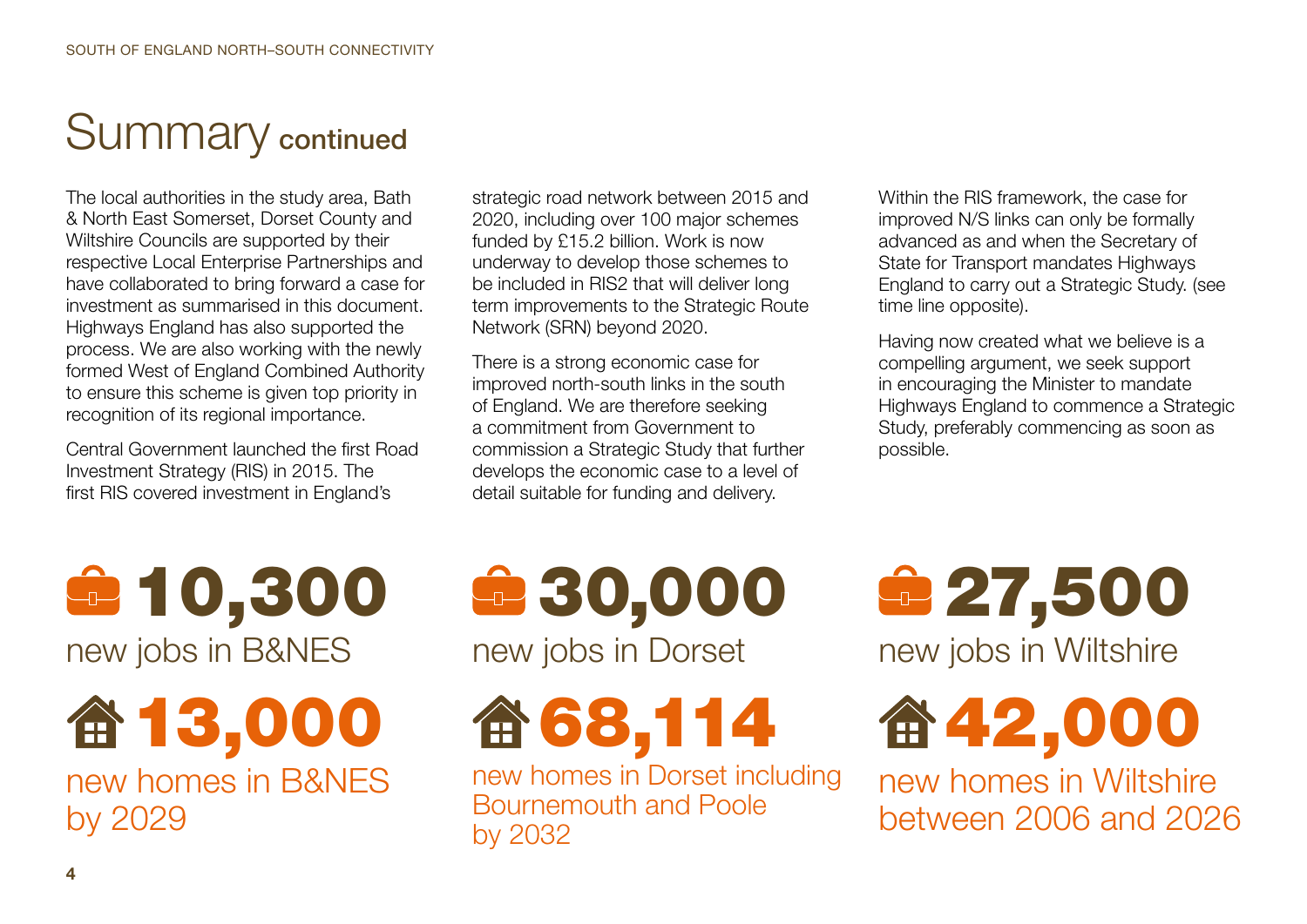### Summary continued

The local authorities in the study area, Bath & North East Somerset, Dorset County and Wiltshire Councils are supported by their respective Local Enterprise Partnerships and have collaborated to bring forward a case for investment as summarised in this document. Highways England has also supported the process. We are also working with the newly formed West of England Combined Authority to ensure this scheme is given top priority in recognition of its regional importance.

Central Government launched the first Road Investment Strategy (RIS) in 2015. The first RIS covered investment in England's

strategic road network between 2015 and 2020, including over 100 major schemes funded by £15.2 billion. Work is now underway to develop those schemes to be included in RIS2 that will deliver long term improvements to the Strategic Route Network (SRN) beyond 2020.

There is a strong economic case for improved north-south links in the south of England. We are therefore seeking a commitment from Government to commission a Strategic Study that further develops the economic case to a level of detail suitable for funding and delivery.

Within the RIS framework, the case for improved N/S links can only be formally advanced as and when the Secretary of State for Transport mandates Highways England to carry out a Strategic Study. (see time line opposite).

Having now created what we believe is a compelling argument, we seek support in encouraging the Minister to mandate Highways England to commence a Strategic Study, preferably commencing as soon as possible.

10,300 new jobs in B&NES

命13,000 new homes in B&NES by 2029

# 30,000 new jobs in Dorset

68,114

new homes in Dorset including Bournemouth and Poole by 2032

27,500

new jobs in Wiltshire

奋42,000

new homes in Wiltshire between 2006 and 2026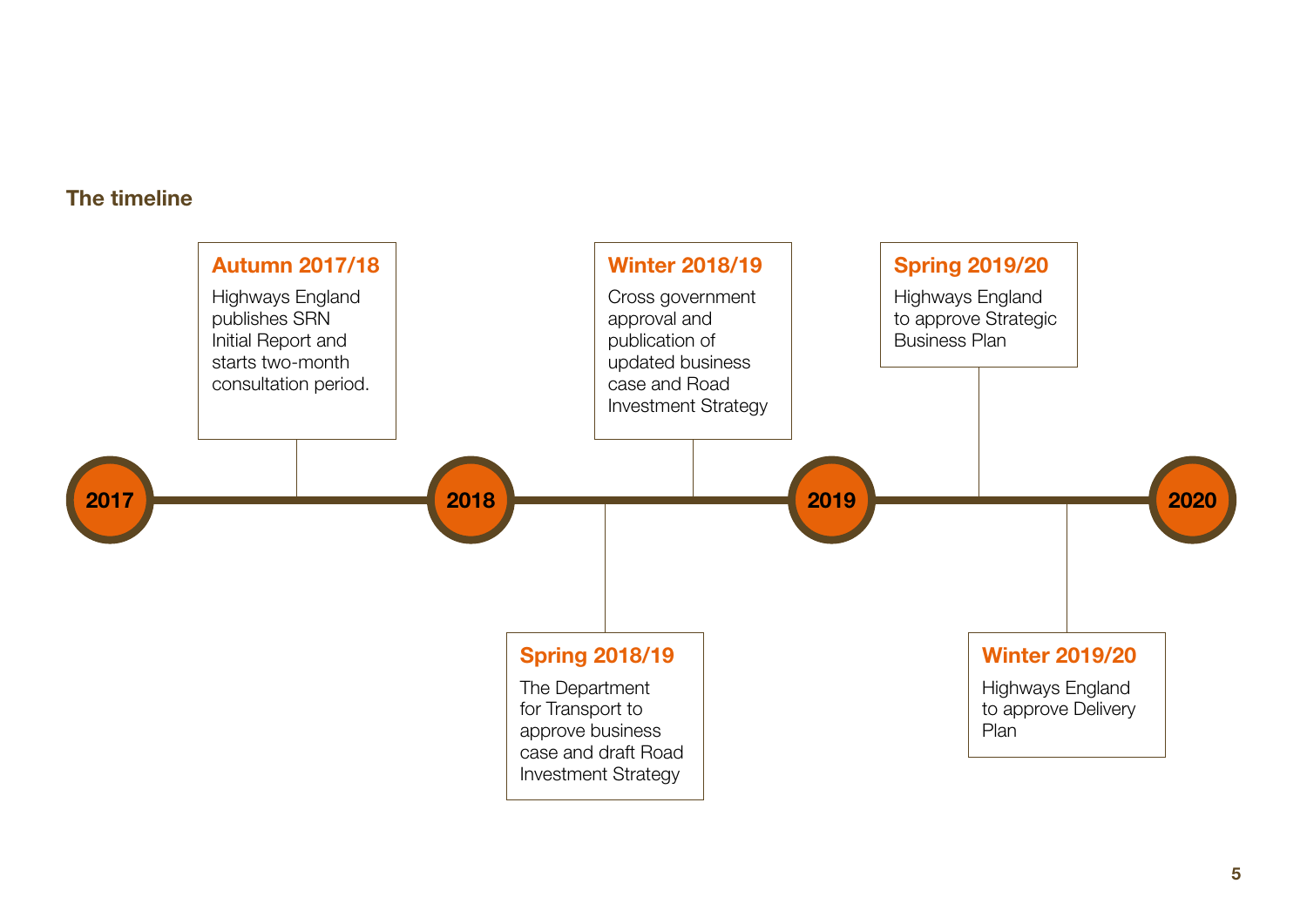#### **The timeline**

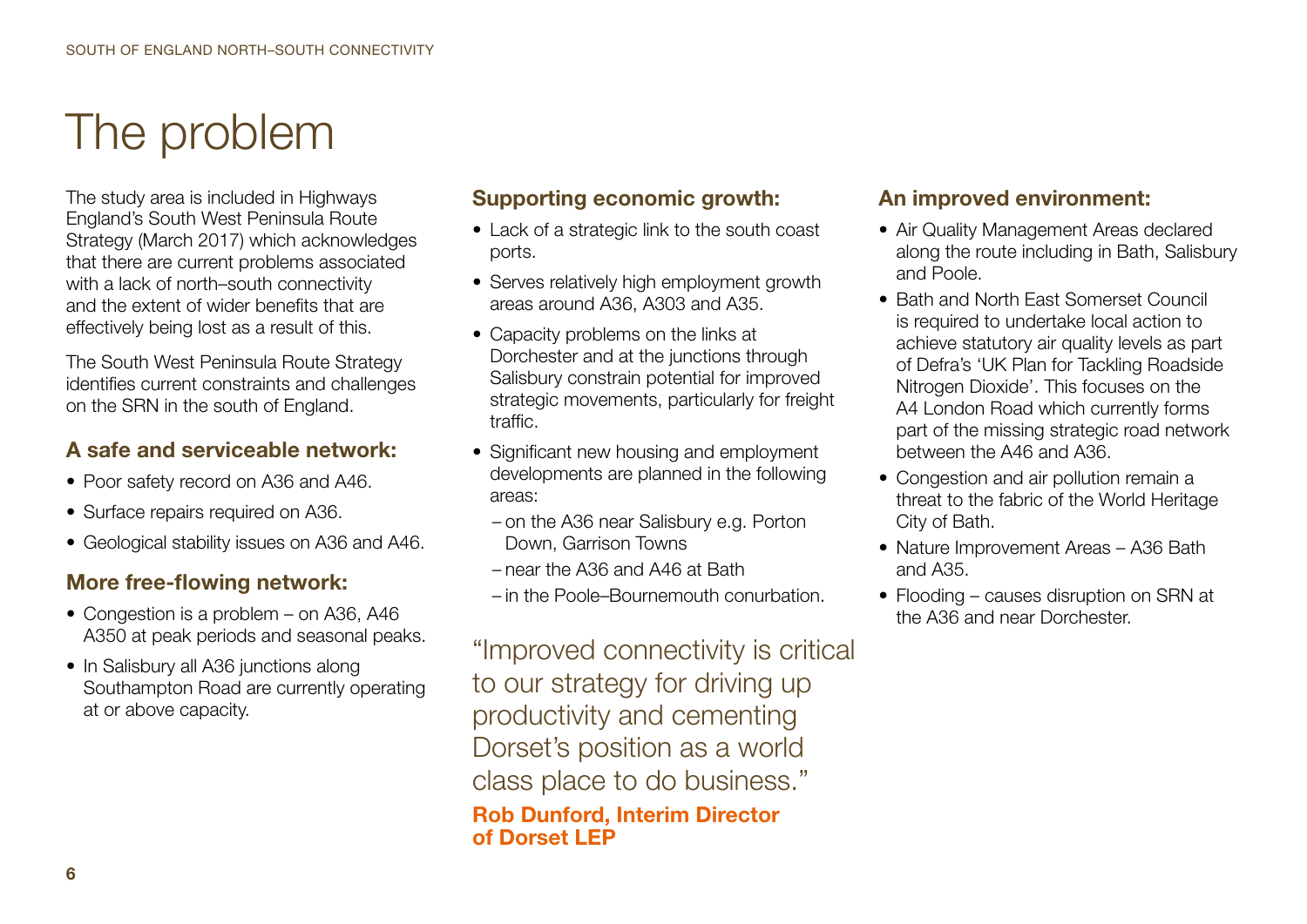# The problem

The study area is included in Highways England's South West Peninsula Route Strategy (March 2017) which acknowledges that there are current problems associated with a lack of north–south connectivity and the extent of wider benefits that are effectively being lost as a result of this.

The South West Peninsula Route Strategy identifies current constraints and challenges on the SRN in the south of England.

#### **A safe and serviceable network:**

- Poor safety record on A36 and A46.
- Surface repairs required on A36.
- Geological stability issues on A36 and A46.

#### **More free-flowing network:**

- Congestion is a problem on A36, A46 A350 at peak periods and seasonal peaks.
- In Salisbury all A36 junctions along Southampton Road are currently operating at or above capacity.

#### **Supporting economic growth:**

- Lack of a strategic link to the south coast ports.
- Serves relatively high employment growth areas around A36, A303 and A35.
- Capacity problems on the links at Dorchester and at the junctions through Salisbury constrain potential for improved strategic movements, particularly for freight traffic.
- Significant new housing and employment developments are planned in the following areas:
	- on the A36 near Salisbury e.g. Porton Down, Garrison Towns
	- near the A36 and A46 at Bath
	- in the Poole–Bournemouth conurbation.

"Improved connectivity is critical to our strategy for driving up productivity and cementing Dorset's position as a world class place to do business."

**Rob Dunford, Interim Director of Dorset LEP**

#### **An improved environment:**

- Air Quality Management Areas declared along the route including in Bath, Salisbury and Poole.
- Bath and North East Somerset Council is required to undertake local action to achieve statutory air quality levels as part of Defra's 'UK Plan for Tackling Roadside Nitrogen Dioxide'. This focuses on the A4 London Road which currently forms part of the missing strategic road network between the A46 and A36.
- Congestion and air pollution remain a threat to the fabric of the World Heritage City of Bath.
- Nature Improvement Areas A36 Bath and A35.
- Flooding causes disruption on SRN at the A36 and near Dorchester.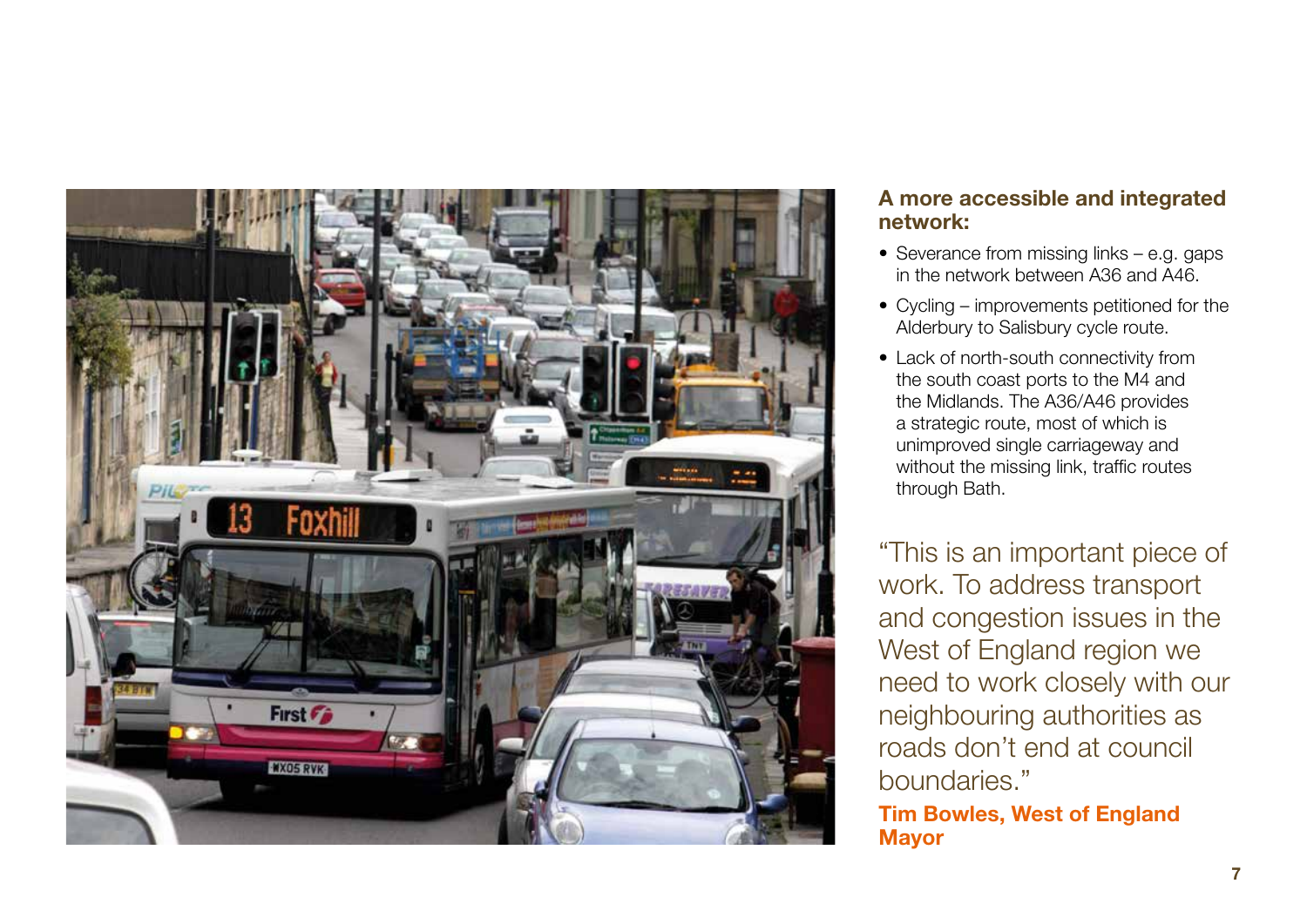

#### **A more accessible and integrated network:**

- Severance from missing links e.g. gaps in the network between A36 and A46.
- Cycling improvements petitioned for the Alderbury to Salisbury cycle route.
- Lack of north-south connectivity from the south coast ports to the M4 and the Midlands. The A36/A46 provides a strategic route, most of which is unimproved single carriageway and without the missing link, traffic routes through Bath.

"This is an important piece of work. To address transport and congestion issues in the West of England region we need to work closely with our neighbouring authorities as roads don't end at council boundaries."

**Tim Bowles, West of England Mayor**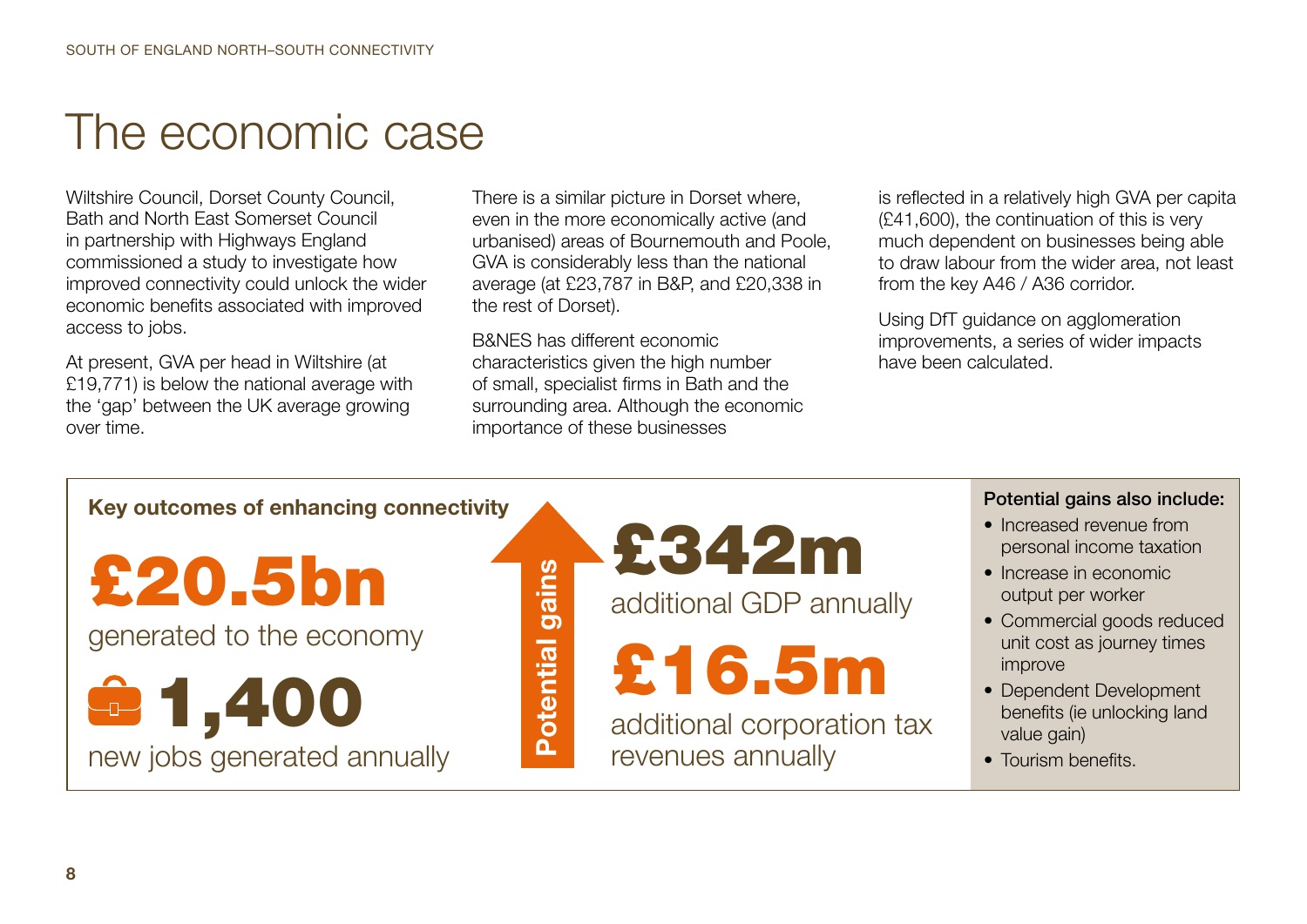### The economic case

Wiltshire Council, Dorset County Council, Bath and North East Somerset Council in partnership with Highways England commissioned a study to investigate how improved connectivity could unlock the wider economic benefits associated with improved access to jobs.

At present, GVA per head in Wiltshire (at £19,771) is below the national average with the 'gap' between the UK average growing over time.

There is a similar picture in Dorset where, even in the more economically active (and urbanised) areas of Bournemouth and Poole, GVA is considerably less than the national average (at £23,787 in B&P, and £20,338 in the rest of Dorset).

B&NES has different economic characteristics given the high number of small, specialist firms in Bath and the surrounding area. Although the economic importance of these businesses

**Potential gains**

**Potential** 

gains

is reflected in a relatively high GVA per capita (£41,600), the continuation of this is very much dependent on businesses being able to draw labour from the wider area, not least from the key A46 / A36 corridor.

Using DfT guidance on agglomeration improvements, a series of wider impacts have been calculated.

#### **Key outcomes of enhancing connectivity**

£20.5bn

generated to the economy

1,400 new jobs generated annually £342m

additional GDP annually



additional corporation tax revenues annually

#### Potential gains also include:

- Increased revenue from personal income taxation
- Increase in economic output per worker
- Commercial goods reduced unit cost as journey times improve
- Dependent Development benefits (ie unlocking land value gain)
- Tourism benefits.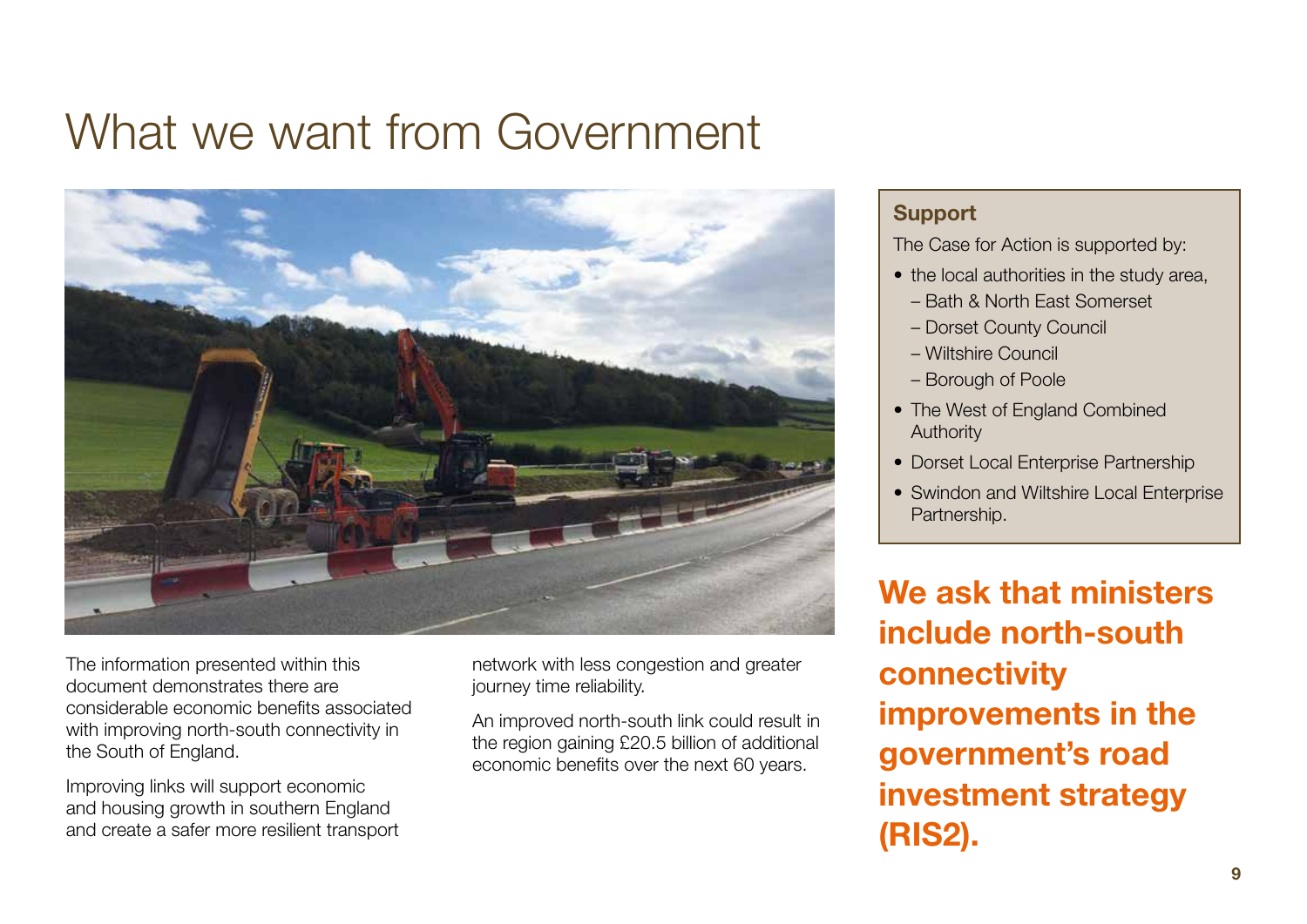### What we want from Government



The information presented within this document demonstrates there are considerable economic benefits associated with improving north-south connectivity in the South of England.

Improving links will support economic and housing growth in southern England and create a safer more resilient transport network with less congestion and greater journey time reliability.

An improved north-south link could result in the region gaining £20.5 billion of additional economic benefits over the next 60 years.

#### **Support**

The Case for Action is supported by:

- the local authorities in the study area.
	- Bath & North East Somerset
	- Dorset County Council
	- Wiltshire Council
	- Borough of Poole
- The West of England Combined Authority
- Dorset Local Enterprise Partnership
- Swindon and Wiltshire Local Enterprise Partnership.

**We ask that ministers include north-south connectivity improvements in the government's road investment strategy (RIS2).**